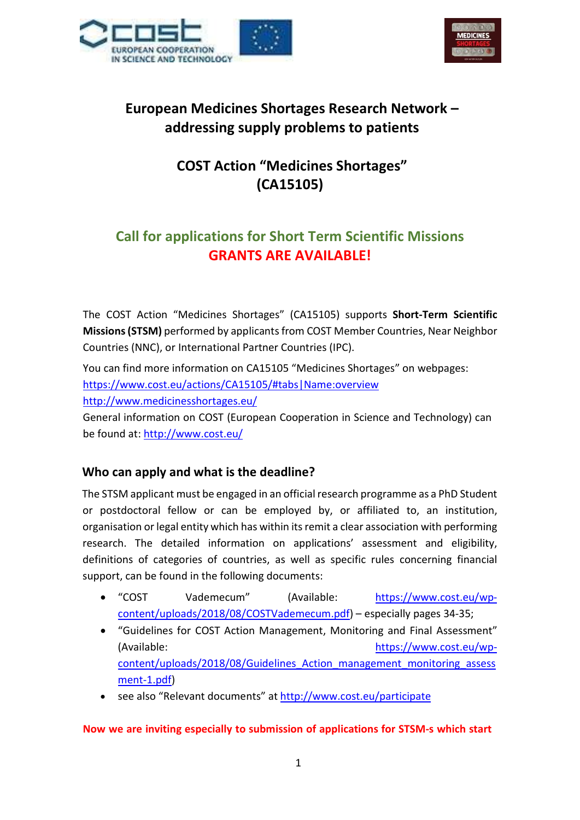



# European Medicines Shortages Research Network – addressing supply problems to patients

# COST Action "Medicines Shortages" (CA15105)

# Call for applications for Short Term Scientific Missions GRANTS ARE AVAILABLE!

The COST Action "Medicines Shortages" (CA15105) supports Short-Term Scientific Missions (STSM) performed by applicants from COST Member Countries, Near Neighbor Countries (NNC), or International Partner Countries (IPC).

You can find more information on CA15105 "Medicines Shortages" on webpages: https://www.cost.eu/actions/CA15105/#tabs|Name:overview http://www.medicinesshortages.eu/

General information on COST (European Cooperation in Science and Technology) can be found at: http://www.cost.eu/

# Who can apply and what is the deadline?

The STSM applicant must be engaged in an official research programme as a PhD Student or postdoctoral fellow or can be employed by, or affiliated to, an institution, organisation or legal entity which has within its remit a clear association with performing research. The detailed information on applications' assessment and eligibility, definitions of categories of countries, as well as specific rules concerning financial support, can be found in the following documents:

- "COST Vademecum" (Available: https://www.cost.eu/wpcontent/uploads/2018/08/COSTVademecum.pdf) – especially pages 34-35;
- "Guidelines for COST Action Management, Monitoring and Final Assessment" (Available: https://www.cost.eu/wpcontent/uploads/2018/08/Guidelines\_Action\_management\_monitoring\_assess ment-1.pdf)
- see also "Relevant documents" at http://www.cost.eu/participate

#### Now we are inviting especially to submission of applications for STSM-s which start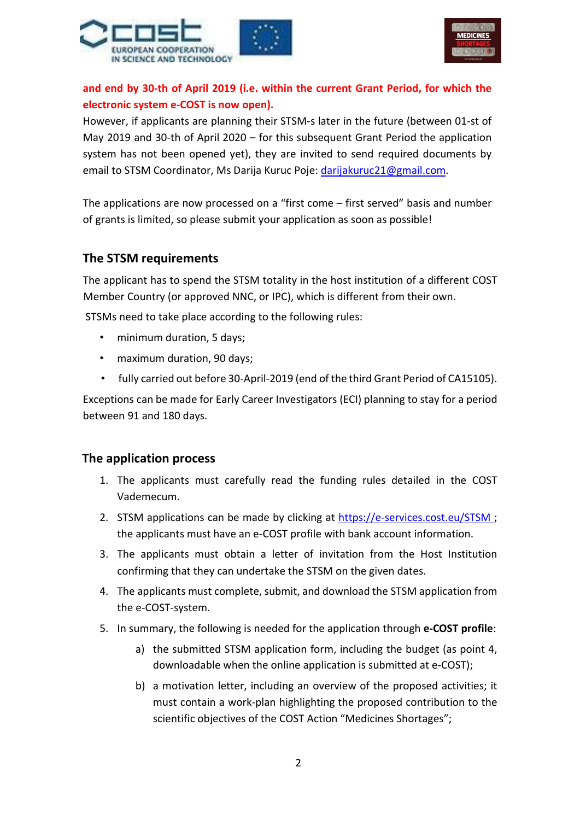



# and end by 30-th of April 2019 (i.e. within the current Grant Period, for which the electronic system e-COST is now open).

However, if applicants are planning their STSM-s later in the future (between 01-st of May 2019 and 30-th of April 2020 – for this subsequent Grant Period the application system has not been opened yet), they are invited to send required documents by email to STSM Coordinator, Ms Darija Kuruc Poje: darijakuruc21@gmail.com.

The applications are now processed on a "first come – first served" basis and number of grants is limited, so please submit your application as soon as possible!

### The STSM requirements

The applicant has to spend the STSM totality in the host institution of a different COST Member Country (or approved NNC, or IPC), which is different from their own.

STSMs need to take place according to the following rules:

- minimum duration, 5 days;
- maximum duration, 90 days;
- fully carried out before 30-April-2019 (end of the third Grant Period of CA15105).

Exceptions can be made for Early Career Investigators (ECI) planning to stay for a period between 91 and 180 days.

### The application process

- 1. The applicants must carefully read the funding rules detailed in the COST Vademecum.
- 2. STSM applications can be made by clicking at https://e-services.cost.eu/STSM ; the applicants must have an e-COST profile with bank account information.
- 3. The applicants must obtain a letter of invitation from the Host Institution confirming that they can undertake the STSM on the given dates.
- 4. The applicants must complete, submit, and download the STSM application from the e-COST-system.
- 5. In summary, the following is needed for the application through e-COST profile:
	- a) the submitted STSM application form, including the budget (as point 4, downloadable when the online application is submitted at e-COST);
	- b) a motivation letter, including an overview of the proposed activities; it must contain a work-plan highlighting the proposed contribution to the scientific objectives of the COST Action "Medicines Shortages";